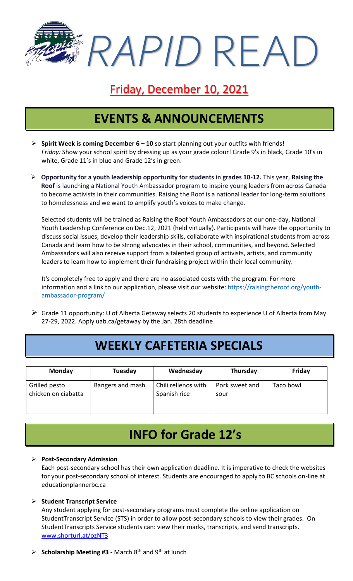*RAPID* READ

## Friday, December 10, 2021

# **EVENTS & ANNOUNCEMENTS**

- ➢ **Spirit Week is coming December 6 – 10** so start planning out your outfits with friends! *Friday:* Show your school spirit by dressing up as your grade colour! Grade 9's in black, Grade 10's in white, Grade 11's in blue and Grade 12's in green.
- ➢ **Opportunity for a youth leadership opportunity for students in grades 10-12.** This year, **Raising the Roof** is launching a National Youth Ambassador program to inspire young leaders from across Canada to become activists in their communities. Raising the Roof is a national leader for long-term solutions to homelessness and we want to amplify youth's voices to make change.

Selected students will be trained as Raising the Roof Youth Ambassadors at our one-day, National Youth Leadership Conference on Dec.12, 2021 (held virtually). Participants will have the opportunity to discuss social issues, develop their leadership skills, collaborate with inspirational students from across Canada and learn how to be strong advocates in their school, communities, and beyond. Selected Ambassadors will also receive support from a talented group of activists, artists, and community leaders to learn how to implement their fundraising project within their local community.

It's completely free to apply and there are no associated costs with the program. For more information and a link to our application, please visit our website: [https://raisingtheroof.org/youth](https://raisingtheroof.org/youth-ambassador-program/)[ambassador-program/](https://raisingtheroof.org/youth-ambassador-program/)

➢ Grade 11 opportunity: U of Alberta Getaway selects 20 students to experience U of Alberta from May 27-29, 2022. Apply uab.ca/getaway by the Jan. 28th deadline.

## **WEEKLY CAFETERIA SPECIALS**

| <b>Monday</b>                        | Tuesday          | Wednesday                           | Thursday               | Friday    |
|--------------------------------------|------------------|-------------------------------------|------------------------|-----------|
| Grilled pesto<br>chicken on ciabatta | Bangers and mash | Chili rellenos with<br>Spanish rice | Pork sweet and<br>sour | Taco bowl |

# **INFO for Grade 12's**

#### ➢ **Post-Secondary Admission**

Each post-secondary school has their own application deadline. It is imperative to check the websites for your post-secondary school of interest. Students are encouraged to apply to BC schools on-line at educationplannerbc.ca

#### ➢ **Student Transcript Service**

Any student applying for post-secondary programs must complete the online application on StudentTranscript Service (STS) in order to allow post-secondary schools to view their grades. On StudentTranscripts Service students can: view their marks, transcripts, and send transcripts. [www.shorturl.at/ozNT3](http://www.shorturl.at/ozNT3)

 $\triangleright$  **Scholarship Meeting #3** - March 8<sup>th</sup> and 9<sup>th</sup> at lunch